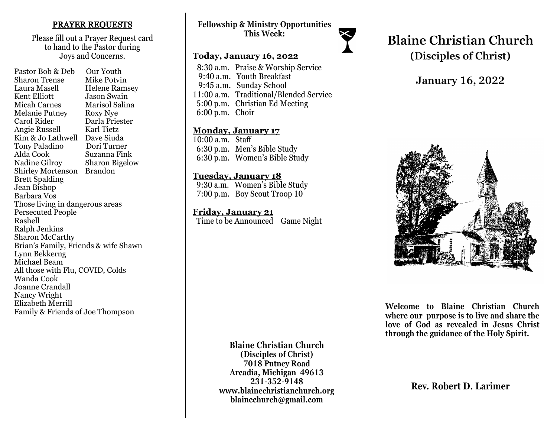### PRAYER REQUESTS

Please fill out a Prayer Request card to hand to the Pastor during Joys and Concerns.

Pastor Bob & Deb Our Youth Sharon Trense Mike Potvin Laura Masell Helene Ramsey<br>Kent Elliott Jason Swain Jason Swain Micah Carnes Marisol Salina Melanie Putney Roxy Nye Carol Rider Darla Priester Angie Russell Karl Tietz Kim & Jo Lathwell Dave Siuda<br>Tony Paladino Dori Turner Tony Paladino Alda Cook Suzanna Fink Nadine Gilroy Sharon Bigelow Shirley Mortenson Brandon Brett Spalding Jean Bishop Barbara Vos Those living in dangerous areas Persecuted People Rashell Ralph Jenkins Sharon McCarthy Brian's Family, Friends & wife Shawn Lynn Bekkerng Michael Beam All those with Flu, COVID, Colds Wanda Cook Joanne Crandall Nancy Wright Elizabeth Merrill Family & Friends of Joe Thompson

## **Fellowship & Ministry Opportunities This Week:**

## **Today, January 16, 2022**

 8:30 a.m. Praise & Worship Service 9:40 a.m. Youth Breakfast 9:45 a.m. Sunday School 11:00 a.m. Traditional/Blended Service 5:00 p.m. Christian Ed Meeting 6:00 p.m. Choir

#### **Monday, January 17**

10:00 a.m. Staff 6:30 p.m. Men's Bible Study 6:30 p.m. Women's Bible Study

### **Tuesday, January 18**

 9:30 a.m. Women's Bible Study 7:00 p.m. Boy Scout Troop 10

**Friday, January 21**  Time to be Announced Game Night **Blaine Christian Church (Disciples of Christ)**

# **January 16, 2022**



**Welcome to Blaine Christian Church where our purpose is to live and share the love of God as revealed in Jesus Christ through the guidance of the Holy Spirit.**

**Blaine Christian Church (Disciples of Christ) 7018 Putney Road Arcadia, Michigan 49613 231-352-9148 www.blainechristianchurch.org blainechurch@gmail.com**

**Rev. Robert D. Larimer**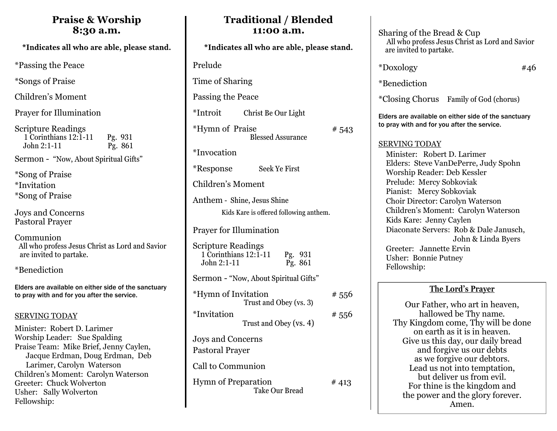# **Praise & Worship 8:30 a.m.**

\*Passing the Peace

\*Songs of Praise

Children's Moment

Prayer for Illumination

Scripture Readings 1 Corinthians 12:1-11 Pg. 931 John 2:1-11 Pg. 861

Sermon - "Now, About Spiritual Gifts"

\*Song of Praise \*Invitation \*Song of Praise

Joys and Concerns Pastoral Prayer

Communion All who profess Jesus Christ as Lord and Savior are invited to partake.

\*Benediction

Elders are available on either side of the sanctuary to pray with and for you after the service.

## SERVING TODAY

Minister: Robert D. Larimer Worship Leader: Sue Spalding Praise Team: Mike Brief, Jenny Caylen, Jacque Erdman, Doug Erdman, Deb Larimer, Carolyn Waterson Children's Moment: Carolyn Waterson Greeter: Chuck Wolverton Usher: Sally Wolverton Fellowship:

| *Indicates all who are able, please stand.                                                |       |
|-------------------------------------------------------------------------------------------|-------|
| Prelude                                                                                   |       |
| Time of Sharing                                                                           |       |
| Passing the Peace                                                                         |       |
| *Introit<br>Christ Be Our Light                                                           |       |
| <i>*</i> Hymn of Praise<br><b>Blessed Assurance</b>                                       | # 543 |
| *Invocation                                                                               |       |
| Seek Ye First<br><i>*</i> Response                                                        |       |
| Children's Moment                                                                         |       |
| Anthem - Shine, Jesus Shine<br>Kids Kare is offered following anthem.                     |       |
| <b>Prayer for Illumination</b>                                                            |       |
| <b>Scripture Readings</b><br>1 Corinthians $12:1-11$<br>Pg. 931<br>Pg. 861<br>John 2:1-11 |       |
| Sermon - "Now, About Spiritual Gifts"                                                     |       |
| *Hymn of Invitation<br>Trust and Obey (vs. 3)                                             | # 556 |
| *Invitation<br>Trust and Obey (vs. 4)                                                     | # 556 |
| <b>Joys and Concerns</b><br><b>Pastoral Prayer</b>                                        |       |
| Call to Communion                                                                         |       |
| <b>Hymn of Preparation</b><br><b>Take Our Bread</b>                                       | # 413 |

**Traditional / Blended 11:00 a.m.** 

Sharing of the Bread & Cup All who profess Jesus Christ as Lord and Savior are invited to partake.  $*$ Doxology  $*$ 46 \*Benediction \*Closing Chorus Family of God (chorus) Elders are available on either side of the sanctuary to pray with and for you after the service. SERVING TODAY Minister: Robert D. Larimer Elders: Steve VanDePerre, Judy Spohn Worship Reader: Deb Kessler Prelude: Mercy Sobkoviak Pianist: Mercy Sobkoviak Choir Director: Carolyn Waterson Children's Moment: Carolyn Waterson Kids Kare: Jenny Caylen Diaconate Servers: Rob & Dale Janusch, John & Linda Byers Greeter: Jannette Ervin Usher: Bonnie Putney Fellowship:

# **The Lord's Prayer**

Our Father, who art in heaven, hallowed be Thy name. Thy Kingdom come, Thy will be done on earth as it is in heaven. Give us this day, our daily bread and forgive us our debts as we forgive our debtors. Lead us not into temptation, but deliver us from evil. For thine is the kingdom and the power and the glory forever. Amen.